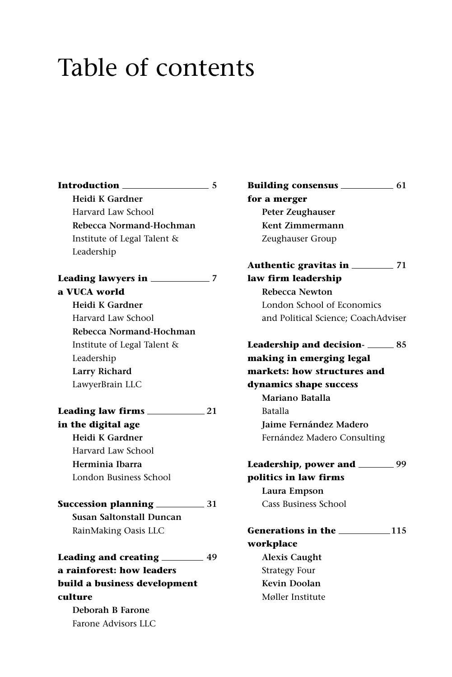## Table of contents

**Introduction 5 Heidi K Gardner** Harvard Law School **Rebecca Normand-Hochman** Institute of Legal Talent & Leadership **Leading lawyers in 7 a VUCA world Heidi K Gardner** Harvard Law School **Rebecca Normand-Hochman** Institute of Legal Talent & Leadership **Larry Richard** LawyerBrain LLC **Leading law firms 21 in the digital age Heidi K Gardner** Harvard Law School **Herminia Ibarra** London Business School **Succession planning 31 Susan Saltonstall Duncan** RainMaking Oasis LLC **Leading and creating 49 a rainforest: how leaders build a business development culture Deborah B Farone** Farone Advisors LLC

**Building consensus 61 for a merger Peter Zeughauser Kent Zimmermann** Zeughauser Group **Authentic gravitas in 71 law firm leadership Rebecca Newton** London School of Economics and Political Science; CoachAdviser **Leadership and decision- 85 making in emerging legal markets: how structures and dynamics shape success Mariano Batalla** Batalla **Jaime Fernández Madero**  Fernández Madero Consulting **Leadership, power and 99 politics in law firms Laura Empson** Cass Business School Generations in the **115 workplace Alexis Caught** Strategy Four **Kevin Doolan** Møller Institute